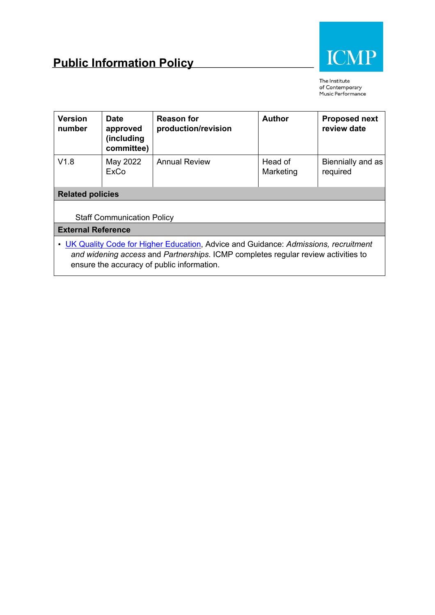

The Institute of Contemporary Music Performance

| <b>Version</b><br>number  | <b>Date</b><br>approved<br>(including<br>committee) | <b>Reason for</b><br>production/revision                                                                                                                                  | <b>Author</b>        | <b>Proposed next</b><br>review date |  |
|---------------------------|-----------------------------------------------------|---------------------------------------------------------------------------------------------------------------------------------------------------------------------------|----------------------|-------------------------------------|--|
| V1.8                      | May 2022<br>ExCo                                    | <b>Annual Review</b>                                                                                                                                                      | Head of<br>Marketing | Biennially and as<br>required       |  |
| <b>Related policies</b>   |                                                     |                                                                                                                                                                           |                      |                                     |  |
|                           |                                                     |                                                                                                                                                                           |                      |                                     |  |
|                           | <b>Staff Communication Policy</b>                   |                                                                                                                                                                           |                      |                                     |  |
| <b>External Reference</b> |                                                     |                                                                                                                                                                           |                      |                                     |  |
|                           |                                                     | • UK Quality Code for Higher Education, Advice and Guidance: Admissions, recruitment<br>and widening access and Partnerships. ICMP completes regular review activities to |                      |                                     |  |

ensure the accuracy of public information.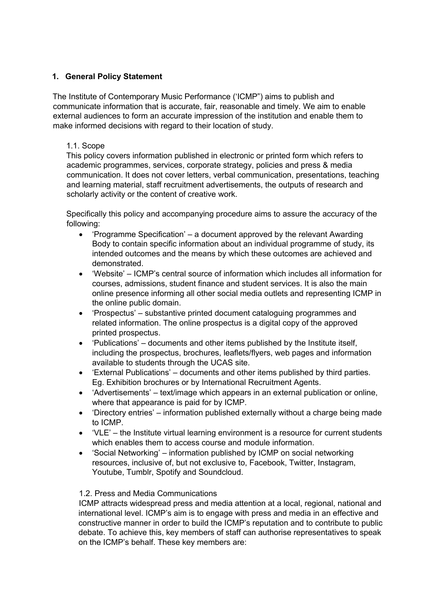### **1. General Policy Statement**

The Institute of Contemporary Music Performance ('ICMP") aims to publish and communicate information that is accurate, fair, reasonable and timely. We aim to enable external audiences to form an accurate impression of the institution and enable them to make informed decisions with regard to their location of study.

#### 1.1. Scope

This policy covers information published in electronic or printed form which refers to academic programmes, services, corporate strategy, policies and press & media communication. It does not cover letters, verbal communication, presentations, teaching and learning material, staff recruitment advertisements, the outputs of research and scholarly activity or the content of creative work.

Specifically this policy and accompanying procedure aims to assure the accuracy of the following:

- 'Programme Specification' a document approved by the relevant Awarding Body to contain specific information about an individual programme of study, its intended outcomes and the means by which these outcomes are achieved and demonstrated.
- 'Website' ICMP's central source of information which includes all information for courses, admissions, student finance and student services. It is also the main online presence informing all other social media outlets and representing ICMP in the online public domain.
- 'Prospectus' substantive printed document cataloguing programmes and related information. The online prospectus is a digital copy of the approved printed prospectus.
- 'Publications' documents and other items published by the Institute itself, including the prospectus, brochures, leaflets/flyers, web pages and information available to students through the UCAS site.
- 'External Publications' documents and other items published by third parties. Eg. Exhibition brochures or by International Recruitment Agents.
- 'Advertisements' text/image which appears in an external publication or online, where that appearance is paid for by ICMP.
- 'Directory entries' information published externally without a charge being made to ICMP.
- 'VLE' the Institute virtual learning environment is a resource for current students which enables them to access course and module information.
- 'Social Networking' information published by ICMP on social networking resources, inclusive of, but not exclusive to, Facebook, Twitter, Instagram, Youtube, Tumblr, Spotify and Soundcloud.

#### 1.2. Press and Media Communications

ICMP attracts widespread press and media attention at a local, regional, national and international level. ICMP's aim is to engage with press and media in an effective and constructive manner in order to build the ICMP's reputation and to contribute to public debate. To achieve this, key members of staff can authorise representatives to speak on the ICMP's behalf. These key members are: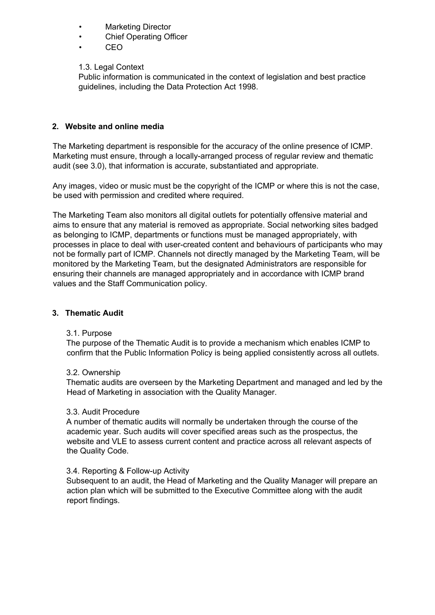- Marketing Director
- **Chief Operating Officer**
- CEO

1.3. Legal Context

Public information is communicated in the context of legislation and best practice guidelines, including the Data Protection Act 1998.

## **2. Website and online media**

The Marketing department is responsible for the accuracy of the online presence of ICMP. Marketing must ensure, through a locally-arranged process of regular review and thematic audit (see 3.0), that information is accurate, substantiated and appropriate.

Any images, video or music must be the copyright of the ICMP or where this is not the case, be used with permission and credited where required.

The Marketing Team also monitors all digital outlets for potentially offensive material and aims to ensure that any material is removed as appropriate. Social networking sites badged as belonging to ICMP, departments or functions must be managed appropriately, with processes in place to deal with user-created content and behaviours of participants who may not be formally part of ICMP. Channels not directly managed by the Marketing Team, will be monitored by the Marketing Team, but the designated Administrators are responsible for ensuring their channels are managed appropriately and in accordance with ICMP brand values and the Staff Communication policy.

#### **3. Thematic Audit**

#### 3.1. Purpose

The purpose of the Thematic Audit is to provide a mechanism which enables ICMP to confirm that the Public Information Policy is being applied consistently across all outlets.

#### 3.2. Ownership

Thematic audits are overseen by the Marketing Department and managed and led by the Head of Marketing in association with the Quality Manager.

#### 3.3. Audit Procedure

A number of thematic audits will normally be undertaken through the course of the academic year. Such audits will cover specified areas such as the prospectus, the website and VLE to assess current content and practice across all relevant aspects of the Quality Code.

#### 3.4. Reporting & Follow-up Activity

Subsequent to an audit, the Head of Marketing and the Quality Manager will prepare an action plan which will be submitted to the Executive Committee along with the audit report findings.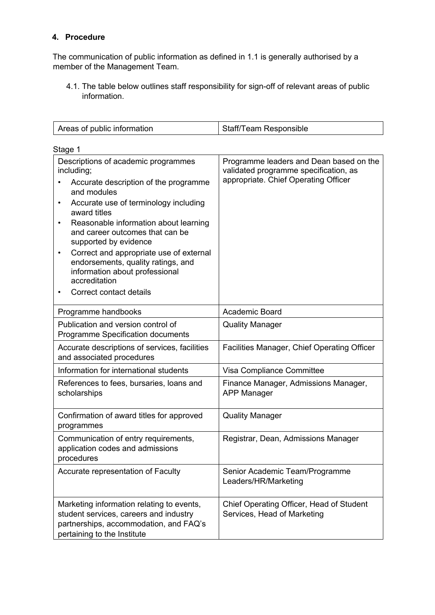# **4. Procedure**

The communication of public information as defined in 1.1 is generally authorised by a member of the Management Team.

4.1. The table below outlines staff responsibility for sign-off of relevant areas of public information.

| Areas of public information                                                                                                                                                                                                                                                                                                                                                                                                                                        | Staff/Team Responsible                                                                                                   |  |  |  |  |
|--------------------------------------------------------------------------------------------------------------------------------------------------------------------------------------------------------------------------------------------------------------------------------------------------------------------------------------------------------------------------------------------------------------------------------------------------------------------|--------------------------------------------------------------------------------------------------------------------------|--|--|--|--|
| Stage 1                                                                                                                                                                                                                                                                                                                                                                                                                                                            |                                                                                                                          |  |  |  |  |
| Descriptions of academic programmes<br>including;<br>Accurate description of the programme<br>and modules<br>Accurate use of terminology including<br>٠<br>award titles<br>Reasonable information about learning<br>٠<br>and career outcomes that can be<br>supported by evidence<br>Correct and appropriate use of external<br>$\bullet$<br>endorsements, quality ratings, and<br>information about professional<br>accreditation<br>Correct contact details<br>٠ | Programme leaders and Dean based on the<br>validated programme specification, as<br>appropriate. Chief Operating Officer |  |  |  |  |
| Programme handbooks                                                                                                                                                                                                                                                                                                                                                                                                                                                | Academic Board                                                                                                           |  |  |  |  |
| Publication and version control of<br>Programme Specification documents                                                                                                                                                                                                                                                                                                                                                                                            | <b>Quality Manager</b>                                                                                                   |  |  |  |  |
| Accurate descriptions of services, facilities<br>and associated procedures                                                                                                                                                                                                                                                                                                                                                                                         | Facilities Manager, Chief Operating Officer                                                                              |  |  |  |  |
| Information for international students                                                                                                                                                                                                                                                                                                                                                                                                                             | Visa Compliance Committee                                                                                                |  |  |  |  |
| References to fees, bursaries, loans and<br>scholarships                                                                                                                                                                                                                                                                                                                                                                                                           | Finance Manager, Admissions Manager,<br><b>APP Manager</b>                                                               |  |  |  |  |
| Confirmation of award titles for approved<br>programmes                                                                                                                                                                                                                                                                                                                                                                                                            | <b>Quality Manager</b>                                                                                                   |  |  |  |  |
| Communication of entry requirements,<br>application codes and admissions<br>procedures                                                                                                                                                                                                                                                                                                                                                                             | Registrar, Dean, Admissions Manager                                                                                      |  |  |  |  |
| Accurate representation of Faculty                                                                                                                                                                                                                                                                                                                                                                                                                                 | Senior Academic Team/Programme<br>Leaders/HR/Marketing                                                                   |  |  |  |  |
| Marketing information relating to events,<br>student services, careers and industry<br>partnerships, accommodation, and FAQ's<br>pertaining to the Institute                                                                                                                                                                                                                                                                                                       | Chief Operating Officer, Head of Student<br>Services, Head of Marketing                                                  |  |  |  |  |